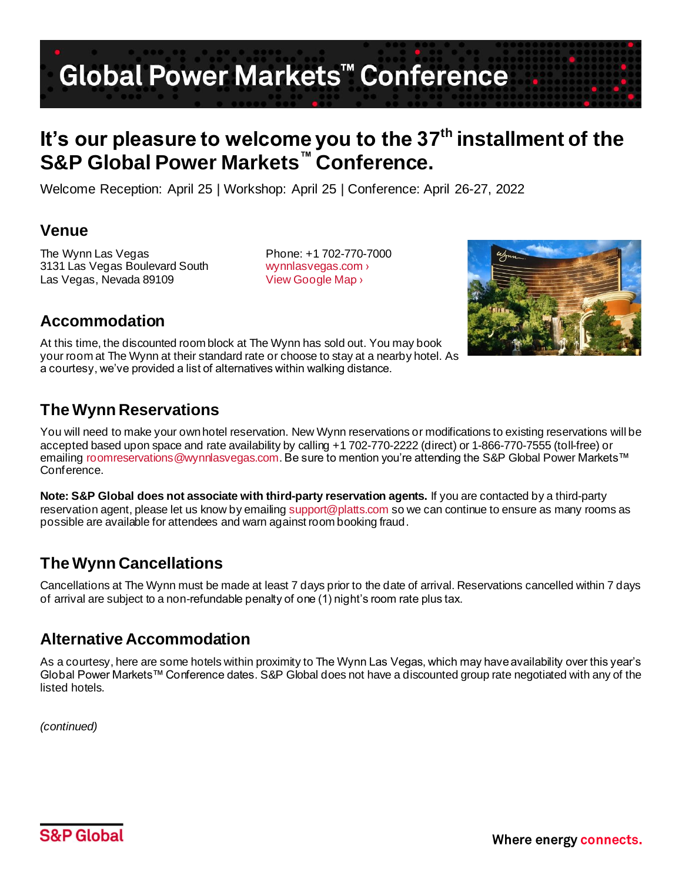# Global Power Markets<sup>™</sup> Conference

## It's our pleasure to welcome you to the 37<sup>th</sup> installment of the **S&P Global Power Markets™ Conference.**

Welcome Reception: April 25 | Workshop: April 25 | Conference: April 26-27, 2022

#### **Venue**

The Wynn Las Vegas Phone: +1 702-770-7000 3131 Las Vegas Boulevard South [wynnlasvegas.com ›](https://www.wynnlasvegas.com/) Las Vegas, Nevada 89109 View Google Map >



## **Accommodation**

At this time, the discounted room block at The Wynn has sold out. You may book your room at The Wynn at their standard rate or choose to stay at a nearby hotel. As a courtesy, we've provided a list of alternatives within walking distance.

### **The Wynn Reservations**

You will need to make your own hotel reservation. New Wynn reservations or modifications to existing reservations will be accepted based upon space and rate availability by calling +1 702-770-2222 (direct) or 1-866-770-7555 (toll-free) or emailing [roomreservations@wynnlasvegas.com](mailto:roomreservations@wynnlasvegas.com). Be sure to mention you're attending the S&P Global Power Markets™ Conference.

**Note: S&P Global does not associate with third-party reservation agents.** If you are contacted by a third-party reservation agent, please let us know by emailin[g support@platts.com](mailto:support@platts.com) so we can continue to ensure as many rooms as possible are available for attendees and warn against room booking fraud.

### **The Wynn Cancellations**

Cancellations at The Wynn must be made at least 7 days prior to the date of arrival. Reservations cancelled within 7 days of arrival are subject to a non-refundable penalty of one (1) night's room rate plus tax.

#### **Alternative Accommodation**

As a courtesy, here are some hotels within proximity to The Wynn Las Vegas, which may have availability over this year's Global Power Markets™ Conference dates. S&P Global does not have a discounted group rate negotiated with any of the listed hotels.

*(continued)*